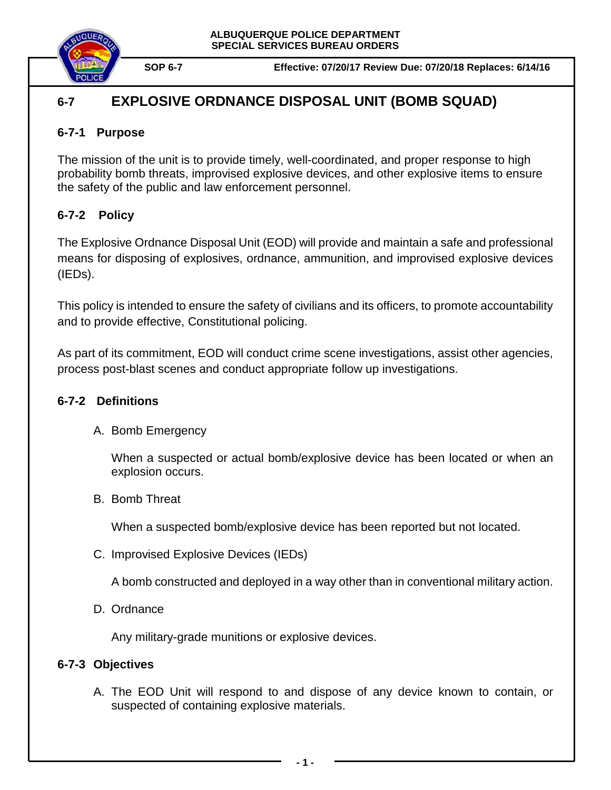

# **6-7 EXPLOSIVE ORDNANCE DISPOSAL UNIT (BOMB SQUAD)**

### **6-7-1 Purpose**

The mission of the unit is to provide timely, well-coordinated, and proper response to high probability bomb threats, improvised explosive devices, and other explosive items to ensure the safety of the public and law enforcement personnel.

# **6-7-2 Policy**

The Explosive Ordnance Disposal Unit (EOD) will provide and maintain a safe and professional means for disposing of explosives, ordnance, ammunition, and improvised explosive devices (IEDs).

This policy is intended to ensure the safety of civilians and its officers, to promote accountability and to provide effective, Constitutional policing.

As part of its commitment, EOD will conduct crime scene investigations, assist other agencies, process post-blast scenes and conduct appropriate follow up investigations.

# **6-7-2 Definitions**

A. Bomb Emergency

When a suspected or actual bomb/explosive device has been located or when an explosion occurs.

B. Bomb Threat

When a suspected bomb/explosive device has been reported but not located.

C. Improvised Explosive Devices (IEDs)

A bomb constructed and deployed in a way other than in conventional military action.

D. Ordnance

Any military-grade munitions or explosive devices.

# **6-7-3 Objectives**

A. The EOD Unit will respond to and dispose of any device known to contain, or suspected of containing explosive materials.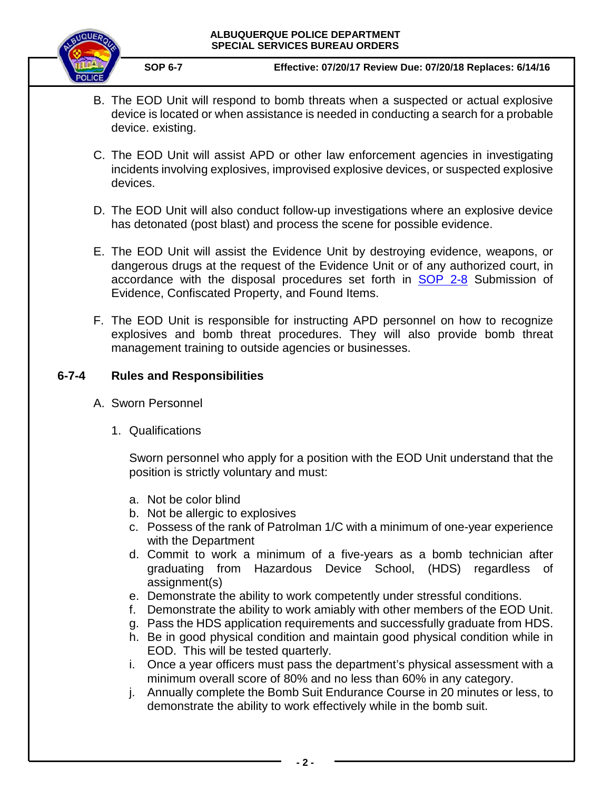

**SOP 6-7 Effective: 07/20/17 Review Due: 07/20/18 Replaces: 6/14/16**

- B. The EOD Unit will respond to bomb threats when a suspected or actual explosive device is located or when assistance is needed in conducting a search for a probable device. existing.
- C. The EOD Unit will assist APD or other law enforcement agencies in investigating incidents involving explosives, improvised explosive devices, or suspected explosive devices.
- D. The EOD Unit will also conduct follow-up investigations where an explosive device has detonated (post blast) and process the scene for possible evidence.
- E. The EOD Unit will assist the Evidence Unit by destroying evidence, weapons, or dangerous drugs at the request of the Evidence Unit or of any authorized court, in accordance with the disposal procedures set forth in **[SOP 2-8](https://powerdms.com/docs/1137?q=2-8)** Submission of Evidence, Confiscated Property, and Found Items.
- F. The EOD Unit is responsible for instructing APD personnel on how to recognize explosives and bomb threat procedures. They will also provide bomb threat management training to outside agencies or businesses.

### **6-7-4 Rules and Responsibilities**

- A. Sworn Personnel
	- 1. Qualifications

Sworn personnel who apply for a position with the EOD Unit understand that the position is strictly voluntary and must:

- a. Not be color blind
- b. Not be allergic to explosives
- c. Possess of the rank of Patrolman 1/C with a minimum of one-year experience with the Department
- d. Commit to work a minimum of a five-years as a bomb technician after graduating from Hazardous Device School, (HDS) regardless of assignment(s)
- e. Demonstrate the ability to work competently under stressful conditions.
- f. Demonstrate the ability to work amiably with other members of the EOD Unit.
- g. Pass the HDS application requirements and successfully graduate from HDS.
- h. Be in good physical condition and maintain good physical condition while in EOD. This will be tested quarterly.
- i. Once a year officers must pass the department's physical assessment with a minimum overall score of 80% and no less than 60% in any category.
- j. Annually complete the Bomb Suit Endurance Course in 20 minutes or less, to demonstrate the ability to work effectively while in the bomb suit.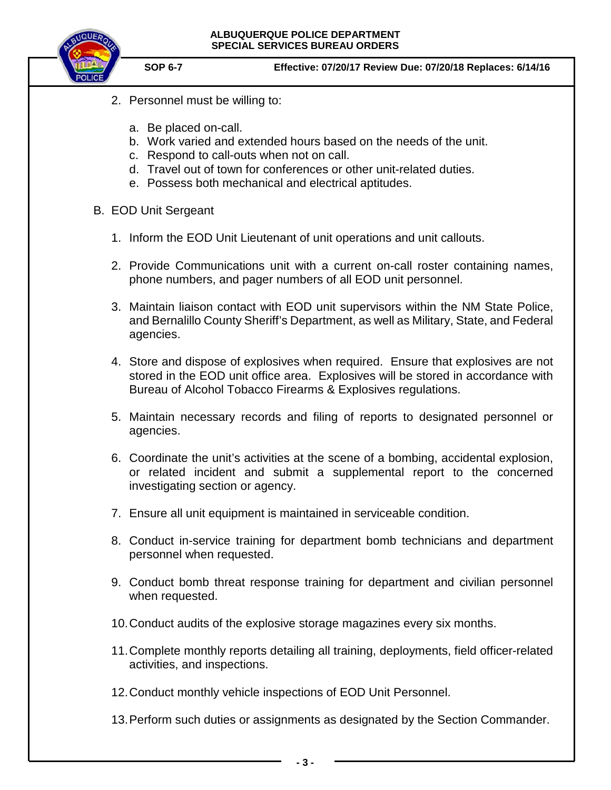



- 2. Personnel must be willing to:
	- a. Be placed on-call.
	- b. Work varied and extended hours based on the needs of the unit.
	- c. Respond to call-outs when not on call.
	- d. Travel out of town for conferences or other unit-related duties.
	- e. Possess both mechanical and electrical aptitudes.
- B. EOD Unit Sergeant
	- 1. Inform the EOD Unit Lieutenant of unit operations and unit callouts.
	- 2. Provide Communications unit with a current on-call roster containing names, phone numbers, and pager numbers of all EOD unit personnel.
	- 3. Maintain liaison contact with EOD unit supervisors within the NM State Police, and Bernalillo County Sheriff's Department, as well as Military, State, and Federal agencies.
	- 4. Store and dispose of explosives when required. Ensure that explosives are not stored in the EOD unit office area. Explosives will be stored in accordance with Bureau of Alcohol Tobacco Firearms & Explosives regulations.
	- 5. Maintain necessary records and filing of reports to designated personnel or agencies.
	- 6. Coordinate the unit's activities at the scene of a bombing, accidental explosion, or related incident and submit a supplemental report to the concerned investigating section or agency.
	- 7. Ensure all unit equipment is maintained in serviceable condition.
	- 8. Conduct in-service training for department bomb technicians and department personnel when requested.
	- 9. Conduct bomb threat response training for department and civilian personnel when requested.
	- 10.Conduct audits of the explosive storage magazines every six months.
	- 11.Complete monthly reports detailing all training, deployments, field officer-related activities, and inspections.
	- 12.Conduct monthly vehicle inspections of EOD Unit Personnel.
	- 13.Perform such duties or assignments as designated by the Section Commander.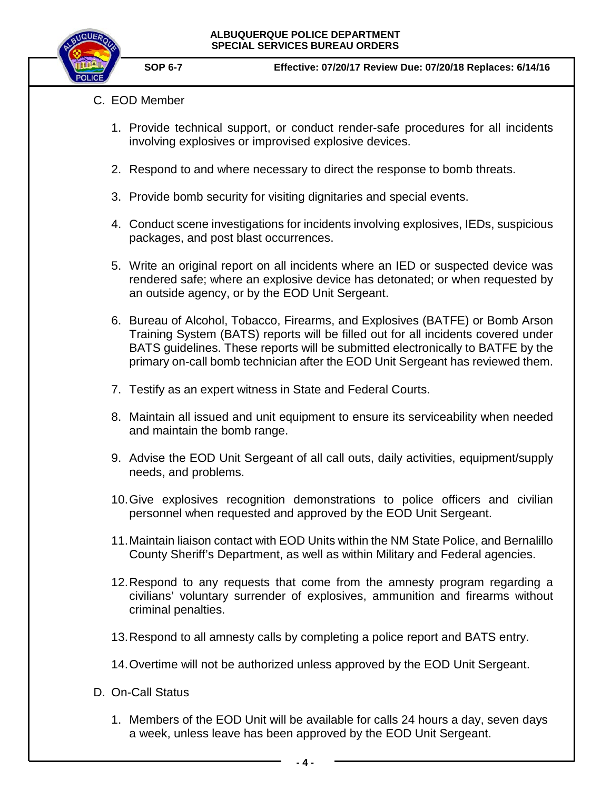

- C. EOD Member
	- 1. Provide technical support, or conduct render-safe procedures for all incidents involving explosives or improvised explosive devices.
	- 2. Respond to and where necessary to direct the response to bomb threats.
	- 3. Provide bomb security for visiting dignitaries and special events.
	- 4. Conduct scene investigations for incidents involving explosives, IEDs, suspicious packages, and post blast occurrences.
	- 5. Write an original report on all incidents where an IED or suspected device was rendered safe; where an explosive device has detonated; or when requested by an outside agency, or by the EOD Unit Sergeant.
	- 6. Bureau of Alcohol, Tobacco, Firearms, and Explosives (BATFE) or Bomb Arson Training System (BATS) reports will be filled out for all incidents covered under BATS guidelines. These reports will be submitted electronically to BATFE by the primary on-call bomb technician after the EOD Unit Sergeant has reviewed them.
	- 7. Testify as an expert witness in State and Federal Courts.
	- 8. Maintain all issued and unit equipment to ensure its serviceability when needed and maintain the bomb range.
	- 9. Advise the EOD Unit Sergeant of all call outs, daily activities, equipment/supply needs, and problems.
	- 10.Give explosives recognition demonstrations to police officers and civilian personnel when requested and approved by the EOD Unit Sergeant.
	- 11.Maintain liaison contact with EOD Units within the NM State Police, and Bernalillo County Sheriff's Department, as well as within Military and Federal agencies.
	- 12.Respond to any requests that come from the amnesty program regarding a civilians' voluntary surrender of explosives, ammunition and firearms without criminal penalties.
	- 13.Respond to all amnesty calls by completing a police report and BATS entry.
	- 14.Overtime will not be authorized unless approved by the EOD Unit Sergeant.
- D. On-Call Status
	- 1. Members of the EOD Unit will be available for calls 24 hours a day, seven days a week, unless leave has been approved by the EOD Unit Sergeant.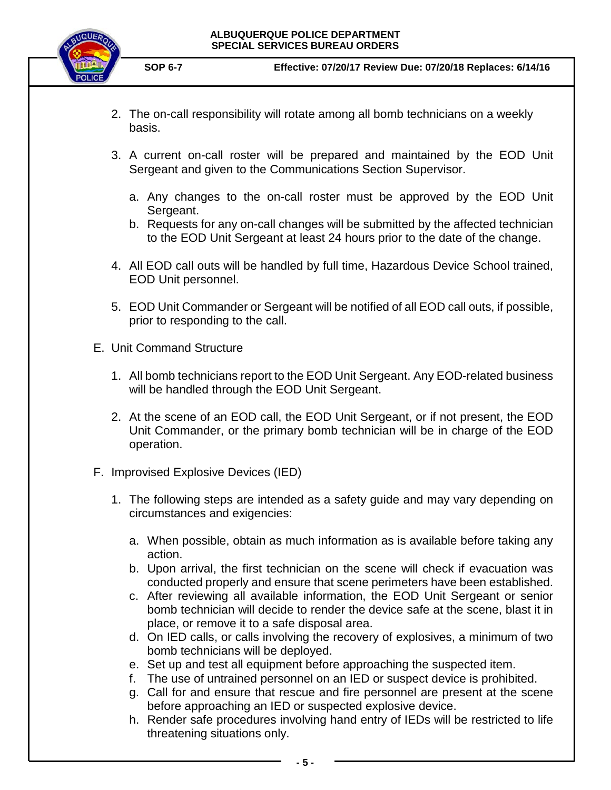

- 2. The on-call responsibility will rotate among all bomb technicians on a weekly basis.
- 3. A current on-call roster will be prepared and maintained by the EOD Unit Sergeant and given to the Communications Section Supervisor.
	- a. Any changes to the on-call roster must be approved by the EOD Unit Sergeant.
	- b. Requests for any on-call changes will be submitted by the affected technician to the EOD Unit Sergeant at least 24 hours prior to the date of the change.
- 4. All EOD call outs will be handled by full time, Hazardous Device School trained, EOD Unit personnel.
- 5. EOD Unit Commander or Sergeant will be notified of all EOD call outs, if possible, prior to responding to the call.
- E. Unit Command Structure
	- 1. All bomb technicians report to the EOD Unit Sergeant. Any EOD-related business will be handled through the EOD Unit Sergeant.
	- 2. At the scene of an EOD call, the EOD Unit Sergeant, or if not present, the EOD Unit Commander, or the primary bomb technician will be in charge of the EOD operation.
- F. Improvised Explosive Devices (IED)
	- 1. The following steps are intended as a safety guide and may vary depending on circumstances and exigencies:
		- a. When possible, obtain as much information as is available before taking any action.
		- b. Upon arrival, the first technician on the scene will check if evacuation was conducted properly and ensure that scene perimeters have been established.
		- c. After reviewing all available information, the EOD Unit Sergeant or senior bomb technician will decide to render the device safe at the scene, blast it in place, or remove it to a safe disposal area.
		- d. On IED calls, or calls involving the recovery of explosives, a minimum of two bomb technicians will be deployed.
		- e. Set up and test all equipment before approaching the suspected item.
		- f. The use of untrained personnel on an IED or suspect device is prohibited.
		- g. Call for and ensure that rescue and fire personnel are present at the scene before approaching an IED or suspected explosive device.
		- h. Render safe procedures involving hand entry of IEDs will be restricted to life threatening situations only.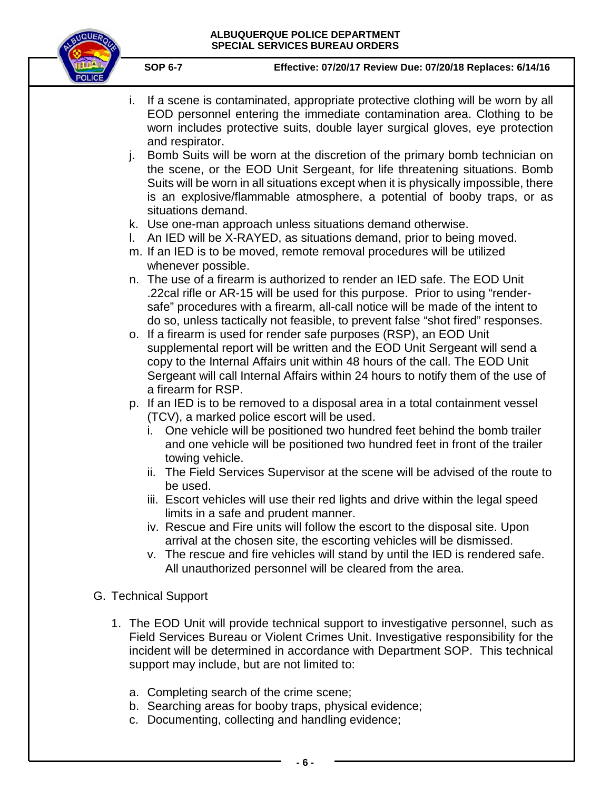

- i. If a scene is contaminated, appropriate protective clothing will be worn by all EOD personnel entering the immediate contamination area. Clothing to be worn includes protective suits, double layer surgical gloves, eye protection and respirator.
- j. Bomb Suits will be worn at the discretion of the primary bomb technician on the scene, or the EOD Unit Sergeant, for life threatening situations. Bomb Suits will be worn in all situations except when it is physically impossible, there is an explosive/flammable atmosphere, a potential of booby traps, or as situations demand.
- k. Use one-man approach unless situations demand otherwise.
- l. An IED will be X-RAYED, as situations demand, prior to being moved.
- m. If an IED is to be moved, remote removal procedures will be utilized whenever possible.
- n. The use of a firearm is authorized to render an IED safe. The EOD Unit .22cal rifle or AR-15 will be used for this purpose. Prior to using "rendersafe" procedures with a firearm, all-call notice will be made of the intent to do so, unless tactically not feasible, to prevent false "shot fired" responses.
- o. If a firearm is used for render safe purposes (RSP), an EOD Unit supplemental report will be written and the EOD Unit Sergeant will send a copy to the Internal Affairs unit within 48 hours of the call. The EOD Unit Sergeant will call Internal Affairs within 24 hours to notify them of the use of a firearm for RSP.
- p. If an IED is to be removed to a disposal area in a total containment vessel (TCV), a marked police escort will be used.
	- i. One vehicle will be positioned two hundred feet behind the bomb trailer and one vehicle will be positioned two hundred feet in front of the trailer towing vehicle.
	- ii. The Field Services Supervisor at the scene will be advised of the route to be used.
	- iii. Escort vehicles will use their red lights and drive within the legal speed limits in a safe and prudent manner.
	- iv. Rescue and Fire units will follow the escort to the disposal site. Upon arrival at the chosen site, the escorting vehicles will be dismissed.
	- v. The rescue and fire vehicles will stand by until the IED is rendered safe. All unauthorized personnel will be cleared from the area.
- G. Technical Support
	- 1. The EOD Unit will provide technical support to investigative personnel, such as Field Services Bureau or Violent Crimes Unit. Investigative responsibility for the incident will be determined in accordance with Department SOP. This technical support may include, but are not limited to:
		- a. Completing search of the crime scene;
		- b. Searching areas for booby traps, physical evidence;
		- c. Documenting, collecting and handling evidence;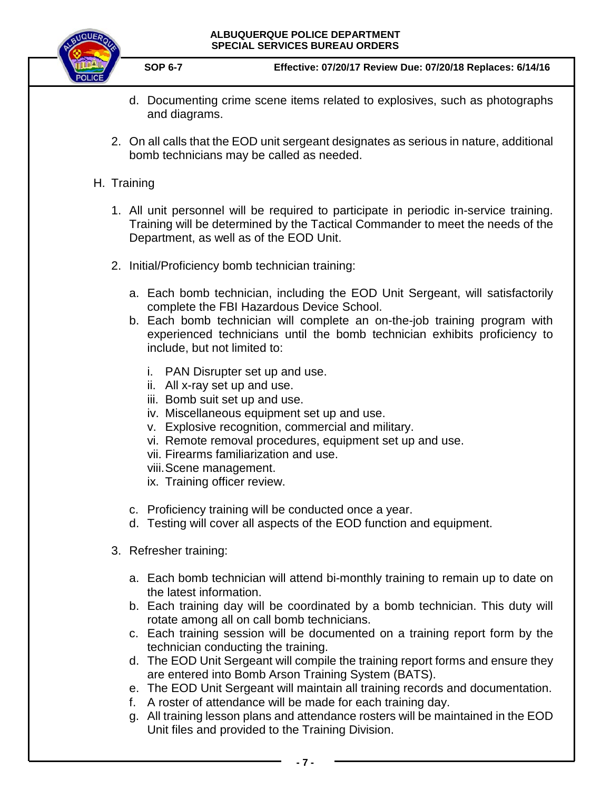

**SOP 6-7 Effective: 07/20/17 Review Due: 07/20/18 Replaces: 6/14/16**

- d. Documenting crime scene items related to explosives, such as photographs and diagrams.
- 2. On all calls that the EOD unit sergeant designates as serious in nature, additional bomb technicians may be called as needed.

# H. Training

- 1. All unit personnel will be required to participate in periodic in-service training. Training will be determined by the Tactical Commander to meet the needs of the Department, as well as of the EOD Unit.
- 2. Initial/Proficiency bomb technician training:
	- a. Each bomb technician, including the EOD Unit Sergeant, will satisfactorily complete the FBI Hazardous Device School.
	- b. Each bomb technician will complete an on-the-job training program with experienced technicians until the bomb technician exhibits proficiency to include, but not limited to:
		- i. PAN Disrupter set up and use.
		- ii. All x-ray set up and use.
		- iii. Bomb suit set up and use.
		- iv. Miscellaneous equipment set up and use.
		- v. Explosive recognition, commercial and military.
		- vi. Remote removal procedures, equipment set up and use.
		- vii. Firearms familiarization and use.
		- viii.Scene management.
		- ix. Training officer review.
	- c. Proficiency training will be conducted once a year.
	- d. Testing will cover all aspects of the EOD function and equipment.
- 3. Refresher training:
	- a. Each bomb technician will attend bi-monthly training to remain up to date on the latest information.
	- b. Each training day will be coordinated by a bomb technician. This duty will rotate among all on call bomb technicians.
	- c. Each training session will be documented on a training report form by the technician conducting the training.
	- d. The EOD Unit Sergeant will compile the training report forms and ensure they are entered into Bomb Arson Training System (BATS).
	- e. The EOD Unit Sergeant will maintain all training records and documentation.
	- f. A roster of attendance will be made for each training day.
	- g. All training lesson plans and attendance rosters will be maintained in the EOD Unit files and provided to the Training Division.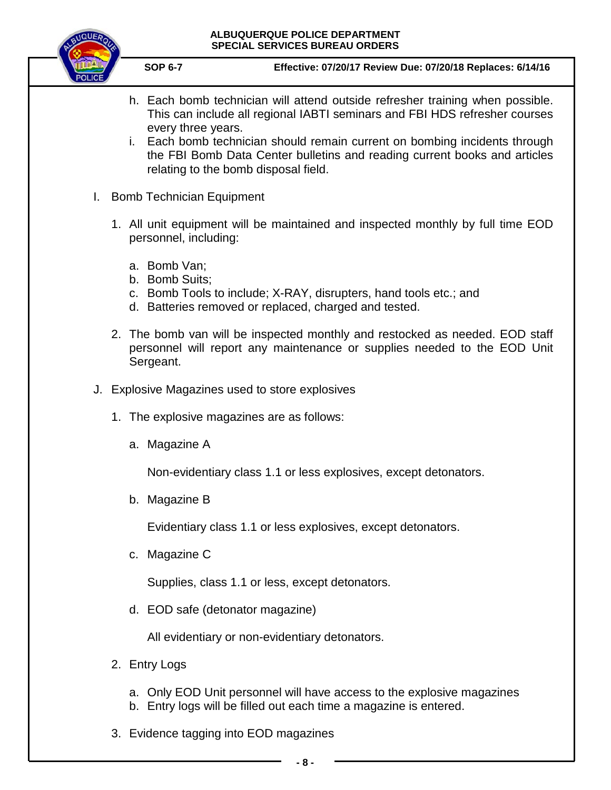

**SOP 6-7 Effective: 07/20/17 Review Due: 07/20/18 Replaces: 6/14/16**

- h. Each bomb technician will attend outside refresher training when possible. This can include all regional IABTI seminars and FBI HDS refresher courses every three years.
- i. Each bomb technician should remain current on bombing incidents through the FBI Bomb Data Center bulletins and reading current books and articles relating to the bomb disposal field.
- I. Bomb Technician Equipment
	- 1. All unit equipment will be maintained and inspected monthly by full time EOD personnel, including:
		- a. Bomb Van;
		- b. Bomb Suits;
		- c. Bomb Tools to include; X-RAY, disrupters, hand tools etc.; and
		- d. Batteries removed or replaced, charged and tested.
	- 2. The bomb van will be inspected monthly and restocked as needed. EOD staff personnel will report any maintenance or supplies needed to the EOD Unit Sergeant.
- J. Explosive Magazines used to store explosives
	- 1. The explosive magazines are as follows:
		- a. Magazine A

Non-evidentiary class 1.1 or less explosives, except detonators.

b. Magazine B

Evidentiary class 1.1 or less explosives, except detonators.

c. Magazine C

Supplies, class 1.1 or less, except detonators.

d. EOD safe (detonator magazine)

All evidentiary or non-evidentiary detonators.

- 2. Entry Logs
	- a. Only EOD Unit personnel will have access to the explosive magazines
	- b. Entry logs will be filled out each time a magazine is entered.
- 3. Evidence tagging into EOD magazines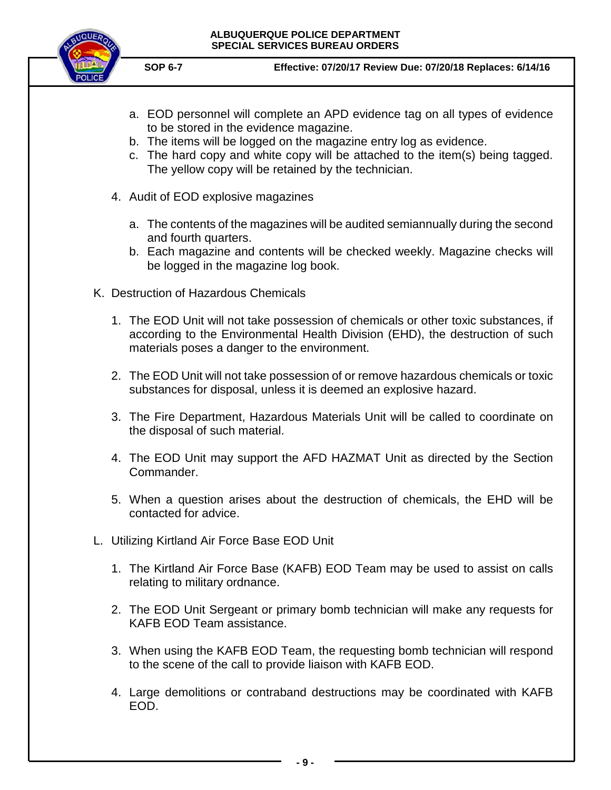

- a. EOD personnel will complete an APD evidence tag on all types of evidence to be stored in the evidence magazine.
- b. The items will be logged on the magazine entry log as evidence.
- c. The hard copy and white copy will be attached to the item(s) being tagged. The yellow copy will be retained by the technician.
- 4. Audit of EOD explosive magazines
	- a. The contents of the magazines will be audited semiannually during the second and fourth quarters.
	- b. Each magazine and contents will be checked weekly. Magazine checks will be logged in the magazine log book.
- K. Destruction of Hazardous Chemicals
	- 1. The EOD Unit will not take possession of chemicals or other toxic substances, if according to the Environmental Health Division (EHD), the destruction of such materials poses a danger to the environment.
	- 2. The EOD Unit will not take possession of or remove hazardous chemicals or toxic substances for disposal, unless it is deemed an explosive hazard.
	- 3. The Fire Department, Hazardous Materials Unit will be called to coordinate on the disposal of such material.
	- 4. The EOD Unit may support the AFD HAZMAT Unit as directed by the Section Commander.
	- 5. When a question arises about the destruction of chemicals, the EHD will be contacted for advice.
- L. Utilizing Kirtland Air Force Base EOD Unit
	- 1. The Kirtland Air Force Base (KAFB) EOD Team may be used to assist on calls relating to military ordnance.
	- 2. The EOD Unit Sergeant or primary bomb technician will make any requests for KAFB EOD Team assistance.
	- 3. When using the KAFB EOD Team, the requesting bomb technician will respond to the scene of the call to provide liaison with KAFB EOD.
	- 4. Large demolitions or contraband destructions may be coordinated with KAFB EOD.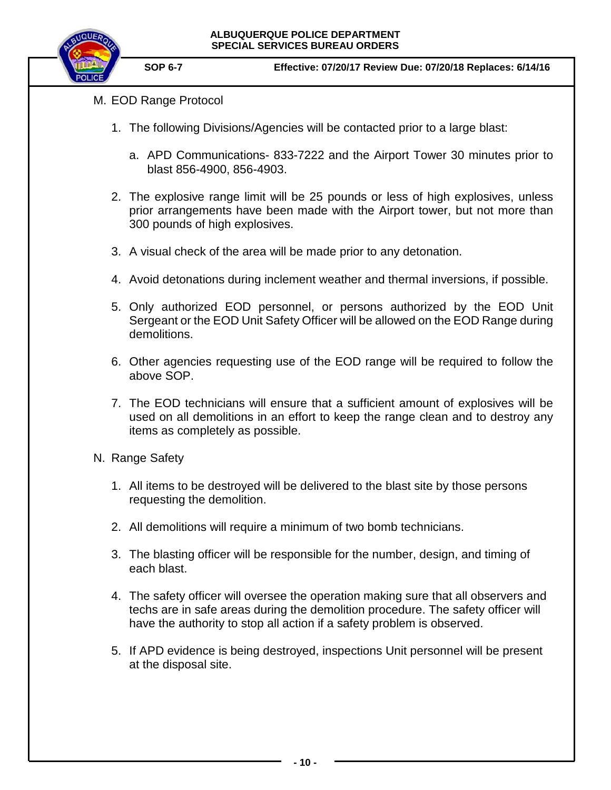

- M. EOD Range Protocol
	- 1. The following Divisions/Agencies will be contacted prior to a large blast:
		- a. APD Communications- 833-7222 and the Airport Tower 30 minutes prior to blast 856-4900, 856-4903.
	- 2. The explosive range limit will be 25 pounds or less of high explosives, unless prior arrangements have been made with the Airport tower, but not more than 300 pounds of high explosives.
	- 3. A visual check of the area will be made prior to any detonation.
	- 4. Avoid detonations during inclement weather and thermal inversions, if possible.
	- 5. Only authorized EOD personnel, or persons authorized by the EOD Unit Sergeant or the EOD Unit Safety Officer will be allowed on the EOD Range during demolitions.
	- 6. Other agencies requesting use of the EOD range will be required to follow the above SOP.
	- 7. The EOD technicians will ensure that a sufficient amount of explosives will be used on all demolitions in an effort to keep the range clean and to destroy any items as completely as possible.
- N. Range Safety
	- 1. All items to be destroyed will be delivered to the blast site by those persons requesting the demolition.
	- 2. All demolitions will require a minimum of two bomb technicians.
	- 3. The blasting officer will be responsible for the number, design, and timing of each blast.
	- 4. The safety officer will oversee the operation making sure that all observers and techs are in safe areas during the demolition procedure. The safety officer will have the authority to stop all action if a safety problem is observed.
	- 5. If APD evidence is being destroyed, inspections Unit personnel will be present at the disposal site.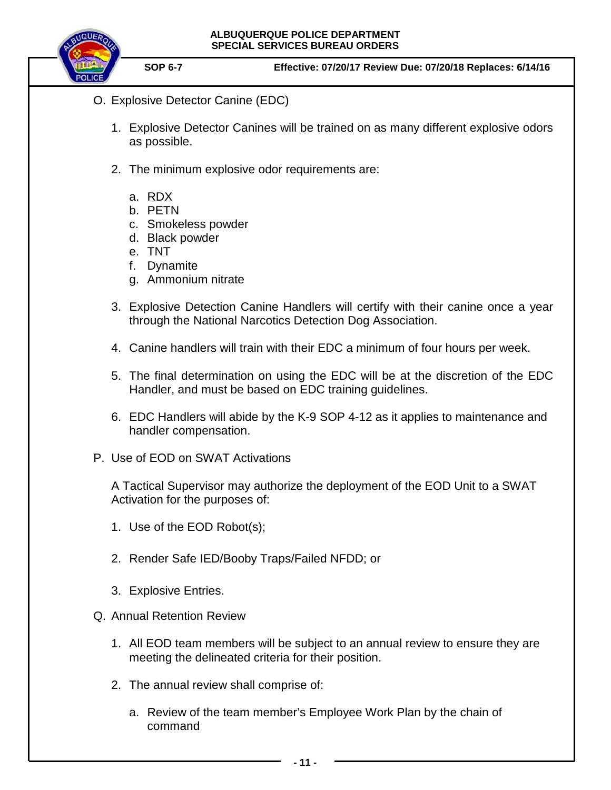

- O. Explosive Detector Canine (EDC)
	- 1. Explosive Detector Canines will be trained on as many different explosive odors as possible.
	- 2. The minimum explosive odor requirements are:
		- a. RDX
		- b. PETN
		- c. Smokeless powder
		- d. Black powder
		- e. TNT
		- f. Dynamite
		- g. Ammonium nitrate
	- 3. Explosive Detection Canine Handlers will certify with their canine once a year through the National Narcotics Detection Dog Association.
	- 4. Canine handlers will train with their EDC a minimum of four hours per week.
	- 5. The final determination on using the EDC will be at the discretion of the EDC Handler, and must be based on EDC training guidelines.
	- 6. EDC Handlers will abide by the K-9 SOP 4-12 as it applies to maintenance and handler compensation.
- P. Use of EOD on SWAT Activations

A Tactical Supervisor may authorize the deployment of the EOD Unit to a SWAT Activation for the purposes of:

- 1. Use of the EOD Robot(s);
- 2. Render Safe IED/Booby Traps/Failed NFDD; or
- 3. Explosive Entries.
- Q. Annual Retention Review
	- 1. All EOD team members will be subject to an annual review to ensure they are meeting the delineated criteria for their position.
	- 2. The annual review shall comprise of:
		- a. Review of the team member's Employee Work Plan by the chain of command